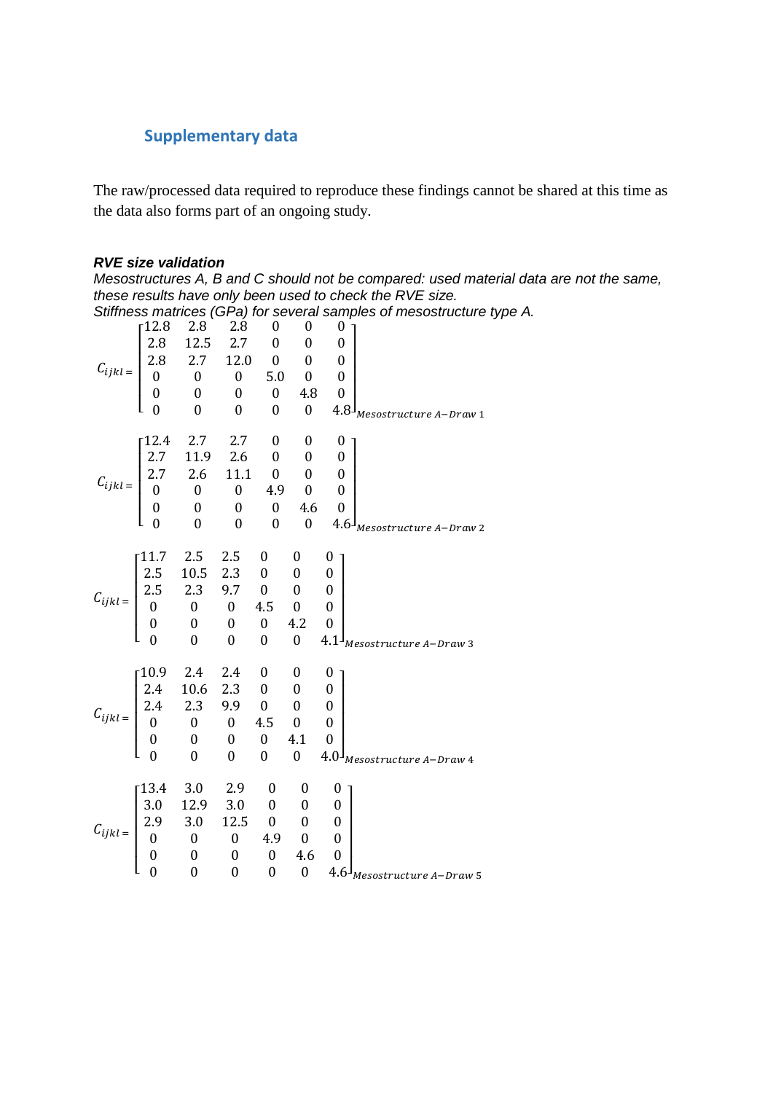# **Supplementary data**

The raw/processed data required to reproduce these findings cannot be shared at this time as the data also forms part of an ongoing study.

#### *RVE size validation*

*Mesostructures A, B and C should not be compared: used material data are not the same, these results have only been used to check the RVE size.*

*Stiffness matrices (GPa) for several samples of mesostructure type A.*

|                                                                                                                                                                                                                         |                                                                                                                                                                                                                                |  |  | 0                |                                           |
|-------------------------------------------------------------------------------------------------------------------------------------------------------------------------------------------------------------------------|--------------------------------------------------------------------------------------------------------------------------------------------------------------------------------------------------------------------------------|--|--|------------------|-------------------------------------------|
|                                                                                                                                                                                                                         |                                                                                                                                                                                                                                |  |  | $\boldsymbol{0}$ |                                           |
|                                                                                                                                                                                                                         |                                                                                                                                                                                                                                |  |  | $\boldsymbol{0}$ |                                           |
|                                                                                                                                                                                                                         |                                                                                                                                                                                                                                |  |  | $\overline{0}$   |                                           |
|                                                                                                                                                                                                                         |                                                                                                                                                                                                                                |  |  | $\mathbf{0}$     |                                           |
|                                                                                                                                                                                                                         | $C_{ijkl} = \begin{bmatrix} 12.8 & 2.8 & 2.0 & 0 & 0 \\ 2.8 & 12.5 & 2.7 & 0 & 0 \\ 2.8 & 2.7 & 12.0 & 0 & 0 \\ 0 & 0 & 0 & 5.0 & 0 \\ 0 & 0 & 0 & 0 & 4.8 \\ 0 & 0 & 0 & 0 & 0 \end{bmatrix}$                                 |  |  |                  | $4.8^{\mathrm{j}}$ Mesostructure A–Draw 1 |
|                                                                                                                                                                                                                         |                                                                                                                                                                                                                                |  |  | 0 <sub>1</sub>   |                                           |
|                                                                                                                                                                                                                         |                                                                                                                                                                                                                                |  |  |                  |                                           |
|                                                                                                                                                                                                                         |                                                                                                                                                                                                                                |  |  |                  |                                           |
|                                                                                                                                                                                                                         |                                                                                                                                                                                                                                |  |  |                  |                                           |
|                                                                                                                                                                                                                         |                                                                                                                                                                                                                                |  |  |                  |                                           |
|                                                                                                                                                                                                                         |                                                                                                                                                                                                                                |  |  |                  |                                           |
|                                                                                                                                                                                                                         | $C_{ijkl} = \begin{bmatrix} 12.4 & 2.7 & 2.7 & 0 & \cup & \cup \\ 2.7 & 11.9 & 2.6 & 0 & 0 & 0 \\ 2.7 & 2.6 & 11.1 & 0 & 0 & 0 \\ 0 & 0 & 0 & 4.9 & 0 & 0 \\ 0 & 0 & 0 & 0 & 4.6 & 0 \\ 0 & 0 & 0 & 0 & 0 & 4.6 \end{bmatrix}$ |  |  |                  | 4.6 <sup>J</sup> Mesostructure A–Draw 2   |
|                                                                                                                                                                                                                         |                                                                                                                                                                                                                                |  |  | 0 <sub>1</sub>   |                                           |
| $C_{ijkl} = \begin{bmatrix} 11.7 & 2.5 & 2.5 & 0 & 0 & 0 \\ 2.5 & 10.5 & 2.3 & 0 & 0 & 0 \\ 2.5 & 2.3 & 9.7 & 0 & 0 & 0 \\ 0 & 0 & 0 & 4.5 & 0 & 0 \\ 0 & 0 & 0 & 0 & 4.2 & 0 \\ 0 & 0 & 0 & 0 & 0 & 4.1 \end{bmatrix}$ |                                                                                                                                                                                                                                |  |  |                  |                                           |
|                                                                                                                                                                                                                         |                                                                                                                                                                                                                                |  |  |                  |                                           |
|                                                                                                                                                                                                                         |                                                                                                                                                                                                                                |  |  |                  |                                           |
|                                                                                                                                                                                                                         |                                                                                                                                                                                                                                |  |  |                  |                                           |
|                                                                                                                                                                                                                         |                                                                                                                                                                                                                                |  |  |                  | $4.1J$ Mesostructure A-Draw 3             |
|                                                                                                                                                                                                                         |                                                                                                                                                                                                                                |  |  |                  |                                           |
|                                                                                                                                                                                                                         |                                                                                                                                                                                                                                |  |  |                  |                                           |
|                                                                                                                                                                                                                         |                                                                                                                                                                                                                                |  |  |                  |                                           |
|                                                                                                                                                                                                                         |                                                                                                                                                                                                                                |  |  |                  |                                           |
|                                                                                                                                                                                                                         |                                                                                                                                                                                                                                |  |  |                  |                                           |
|                                                                                                                                                                                                                         | $C_{ijkl} = \begin{bmatrix} 10.9 & 2.4 & 2.4 & 0 & 0 & 0 \\ 2.4 & 10.6 & 2.3 & 0 & 0 & 0 \\ 2.4 & 2.3 & 9.9 & 0 & 0 & 0 \\ 0 & 0 & 0 & 4.5 & 0 & 0 \\ 0 & 0 & 0 & 0 & 4.1 & 0 \\ 0 & 0 & 0 & 0 & 0 & 4.0 \end{bmatrix}$        |  |  |                  |                                           |
|                                                                                                                                                                                                                         |                                                                                                                                                                                                                                |  |  | 4.0 <sup>1</sup> | Mesostructure A-Draw 4                    |
|                                                                                                                                                                                                                         | $C_{ijkl} = \begin{bmatrix} 13.4 & 3.0 & 2.9 & 0 & 0 & 0 \\ 3.0 & 12.9 & 3.0 & 0 & 0 & 0 \\ 2.9 & 3.0 & 12.5 & 0 & 0 & 0 \\ 0 & 0 & 0 & 4.9 & 0 & 0 \\ 0 & 0 & 0 & 0 & 4.6 & 0 \\ 0 & 0 & 0 & 0 & 0 & 4.6 \end{bmatrix}$       |  |  |                  |                                           |
|                                                                                                                                                                                                                         |                                                                                                                                                                                                                                |  |  |                  |                                           |
|                                                                                                                                                                                                                         |                                                                                                                                                                                                                                |  |  |                  |                                           |
|                                                                                                                                                                                                                         |                                                                                                                                                                                                                                |  |  |                  |                                           |
|                                                                                                                                                                                                                         |                                                                                                                                                                                                                                |  |  |                  |                                           |
|                                                                                                                                                                                                                         |                                                                                                                                                                                                                                |  |  |                  | $4.6\frac{1}{1}$ Mesostructure A-Draw 5   |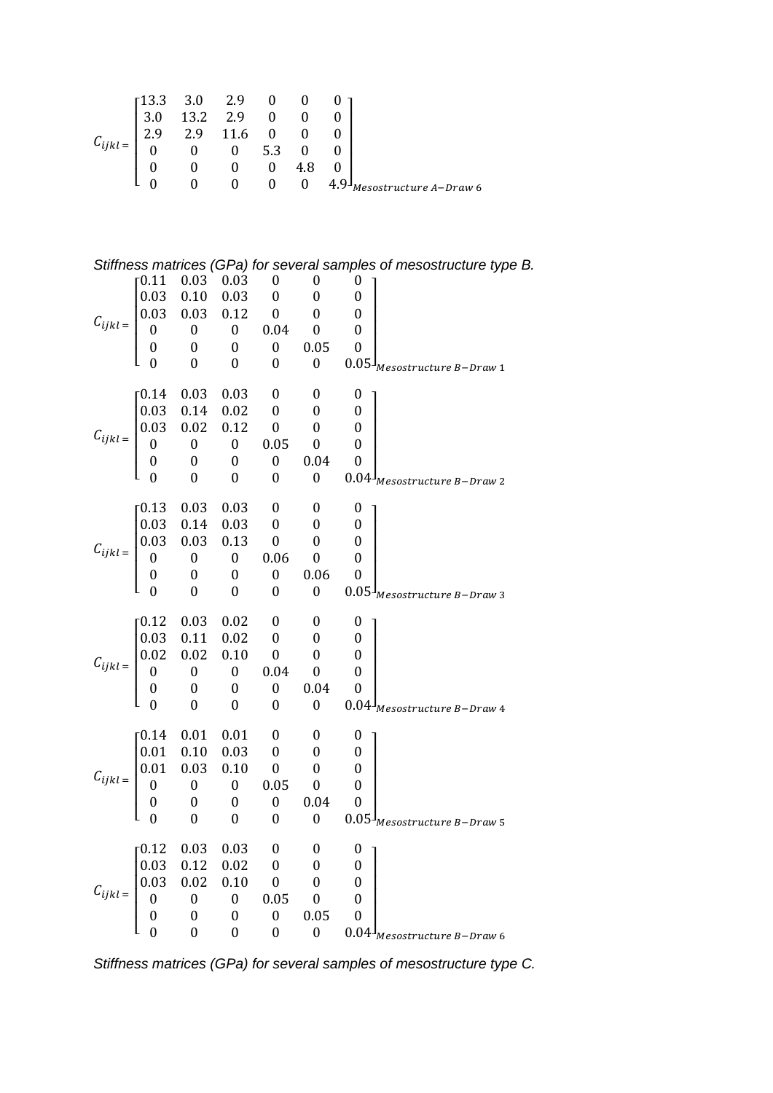|                  | $\begin{bmatrix} 13.3 & 3.0 & 2.9 & 0 & 0 & 0 \ 3.0 & 13.2 & 2.9 & 0 & 0 & 0 \ 2.9 & 2.9 & 11.6 & 0 & 0 & 0 \ 0 & 0 & 0 & 5.3 & 0 & 0 \ 0 & 0 & 0 & 0 & 4.8 \end{bmatrix}$ |  |                                       |        |                       |
|------------------|----------------------------------------------------------------------------------------------------------------------------------------------------------------------------|--|---------------------------------------|--------|-----------------------|
| $C_{ijkl}$ $\!=$ |                                                                                                                                                                            |  |                                       |        |                       |
|                  |                                                                                                                                                                            |  |                                       |        |                       |
|                  |                                                                                                                                                                            |  | $\begin{pmatrix} 0 & 0 \end{pmatrix}$ | $4.9-$ | esostructure A-Draw 6 |

|                                                                                                                                                                                                                                                                                                             |          |                  |                  |                  |                                                     | Stiffness matrices (GPa) for several samples of mesostructure type B. |
|-------------------------------------------------------------------------------------------------------------------------------------------------------------------------------------------------------------------------------------------------------------------------------------------------------------|----------|------------------|------------------|------------------|-----------------------------------------------------|-----------------------------------------------------------------------|
|                                                                                                                                                                                                                                                                                                             |          |                  |                  |                  |                                                     |                                                                       |
|                                                                                                                                                                                                                                                                                                             |          |                  |                  |                  |                                                     |                                                                       |
|                                                                                                                                                                                                                                                                                                             |          |                  |                  |                  |                                                     |                                                                       |
|                                                                                                                                                                                                                                                                                                             |          |                  |                  |                  |                                                     |                                                                       |
|                                                                                                                                                                                                                                                                                                             |          |                  |                  |                  |                                                     |                                                                       |
| $C_{ijkl} = \begin{bmatrix} 0.11 & 0.03 & 0.03 & 0 & 0 & 0 & 0 \\ 0.03 & 0.10 & 0.03 & 0 & 0 & 0 & 0 \\ 0.03 & 0.03 & 0.12 & 0 & 0 & 0 & 0 \\ 0 & 0 & 0 & 0.04 & 0 & 0 & 0 \\ 0 & 0 & 0 & 0 & 0.05 & 0 & 0 \\ 0 & 0 & 0 & 0 & 0 & 0.05 & 0 \\ 0 & 0 & 0 & 0 & 0 & 0.05 & 0 \\ 0 & 0 & 0 & 0 & 0 & 0 & 0.05$ |          |                  |                  |                  |                                                     | $0.05^{J}$ Mesostructure B-Draw 1                                     |
| $C_{ijkl} = \begin{bmatrix} 0.14 & 0.03 & 0.03 & 0 & 0 \\ 0.03 & 0.14 & 0.02 & 0 & 0 \\ 0.03 & 0.02 & 0.12 & 0 & 0 \\ 0 & 0 & 0 & 0.05 & 0 \\ 0 & 0 & 0 & 0 & 0.04 \\ 0 & 0 & 0 & 0 & 0 & 0 \end{bmatrix}$                                                                                                  |          |                  |                  |                  |                                                     | $\boldsymbol{0}$                                                      |
|                                                                                                                                                                                                                                                                                                             |          |                  |                  |                  |                                                     | $\boldsymbol{0}$                                                      |
|                                                                                                                                                                                                                                                                                                             |          |                  |                  |                  |                                                     | $\overline{\mathbf{0}}$                                               |
|                                                                                                                                                                                                                                                                                                             |          |                  |                  |                  |                                                     | $\boldsymbol{0}$                                                      |
|                                                                                                                                                                                                                                                                                                             |          |                  |                  |                  |                                                     | $\boldsymbol{0}$                                                      |
|                                                                                                                                                                                                                                                                                                             |          |                  |                  |                  |                                                     | $0.04J_{Mesostructure\ B-Draw\ 2}$                                    |
|                                                                                                                                                                                                                                                                                                             |          |                  |                  |                  |                                                     |                                                                       |
|                                                                                                                                                                                                                                                                                                             |          |                  |                  |                  |                                                     |                                                                       |
|                                                                                                                                                                                                                                                                                                             |          |                  |                  |                  |                                                     |                                                                       |
|                                                                                                                                                                                                                                                                                                             |          |                  |                  |                  |                                                     |                                                                       |
|                                                                                                                                                                                                                                                                                                             |          |                  |                  |                  | 0.06 0                                              |                                                                       |
| $C_{ijkl} = \begin{bmatrix} 0.13 & 0.03 & 0.03 & 0 & 0 \\ 0.03 & 0.14 & 0.03 & 0 & 0 \\ 0.03 & 0.03 & 0.13 & 0 & 0 \\ 0 & 0 & 0 & 0.06 & 0 \\ 0 & 0 & 0 & 0 & 0.06 \\ 0 & 0 & 0 & 0 & 0 & 0 \end{bmatrix}$                                                                                                  |          |                  |                  |                  |                                                     | $0.05J_{Mesostructure\ B-Draw\ 3}$                                    |
| $C_{ijkl} = \begin{bmatrix} 0.12 & 0.03 & 0.02 & 0 & 0 \\ 0.03 & 0.11 & 0.02 & 0 & 0 \\ 0.02 & 0.02 & 0.10 & 0 & 0 \\ 0 & 0 & 0 & 0.04 & 0 \\ 0 & 0 & 0 & 0 & 0.04 \\ 0 & 0 & 0 & 0 & 0 & 0 \end{bmatrix}$                                                                                                  |          |                  |                  |                  |                                                     |                                                                       |
|                                                                                                                                                                                                                                                                                                             |          |                  |                  |                  |                                                     |                                                                       |
|                                                                                                                                                                                                                                                                                                             |          |                  |                  |                  | $\begin{matrix} 0 & 0 \ 0 & 0 \ 0 & 0 \end{matrix}$ |                                                                       |
|                                                                                                                                                                                                                                                                                                             |          |                  |                  |                  |                                                     | $\boldsymbol{0}$                                                      |
|                                                                                                                                                                                                                                                                                                             |          |                  |                  |                  |                                                     | $\boldsymbol{0}$                                                      |
|                                                                                                                                                                                                                                                                                                             |          |                  |                  |                  |                                                     | $0.04J_{Mesostructure\ B-Draw\ 4}$                                    |
|                                                                                                                                                                                                                                                                                                             |          |                  |                  |                  |                                                     |                                                                       |
|                                                                                                                                                                                                                                                                                                             |          |                  |                  |                  |                                                     | $\boldsymbol{0}$                                                      |
|                                                                                                                                                                                                                                                                                                             |          |                  |                  |                  |                                                     | $\boldsymbol{0}$                                                      |
|                                                                                                                                                                                                                                                                                                             |          |                  |                  |                  |                                                     | $\boldsymbol{0}$                                                      |
|                                                                                                                                                                                                                                                                                                             |          |                  |                  |                  |                                                     | $\boldsymbol{0}$                                                      |
|                                                                                                                                                                                                                                                                                                             |          |                  |                  |                  |                                                     | $\boldsymbol{0}$                                                      |
| $C_{ijkl} = \begin{bmatrix} 0.14 & 0.01 & 0.01 & 0 & 0 \\ 0.01 & 0.10 & 0.03 & 0 & 0 \\ 0.01 & 0.03 & 0.10 & 0 & 0 \\ 0 & 0 & 0 & 0.05 & 0 \\ 0 & 0 & 0 & 0 & 0.04 \\ 0 & 0 & 0 & 0 & 0 & 0 \end{bmatrix}$                                                                                                  |          |                  |                  |                  |                                                     | $0.05\frac{1}{M}$ Mesostructure B-Draw 5                              |
|                                                                                                                                                                                                                                                                                                             | $-0.12$  | 0.03             | 0.03             | $\boldsymbol{0}$ | $\boldsymbol{0}$                                    | 0                                                                     |
|                                                                                                                                                                                                                                                                                                             |          | 0.12             | 0.02             | $\mathbf{0}$     | 0                                                   | 0                                                                     |
|                                                                                                                                                                                                                                                                                                             |          | 0.02             | 0.10             | $\boldsymbol{0}$ | $\boldsymbol{0}$                                    | 0                                                                     |
|                                                                                                                                                                                                                                                                                                             |          | $\boldsymbol{0}$ | $\boldsymbol{0}$ | 0.05             | $\boldsymbol{0}$                                    | 0                                                                     |
| $C_{ijkl} = \begin{bmatrix} 0.03 & 0 \\ 0.03 & 0 \\ 0 & 0 \end{bmatrix}$                                                                                                                                                                                                                                    |          | $\boldsymbol{0}$ | $\boldsymbol{0}$ | $\boldsymbol{0}$ | 0.05                                                | $\boldsymbol{0}$                                                      |
|                                                                                                                                                                                                                                                                                                             | $\theta$ | $\boldsymbol{0}$ | 0                | $\boldsymbol{0}$ | $\boldsymbol{0}$                                    | 0.04<br>Mesostructure B–Draw 6                                        |

*Stiffness matrices (GPa) for several samples of mesostructure type C.*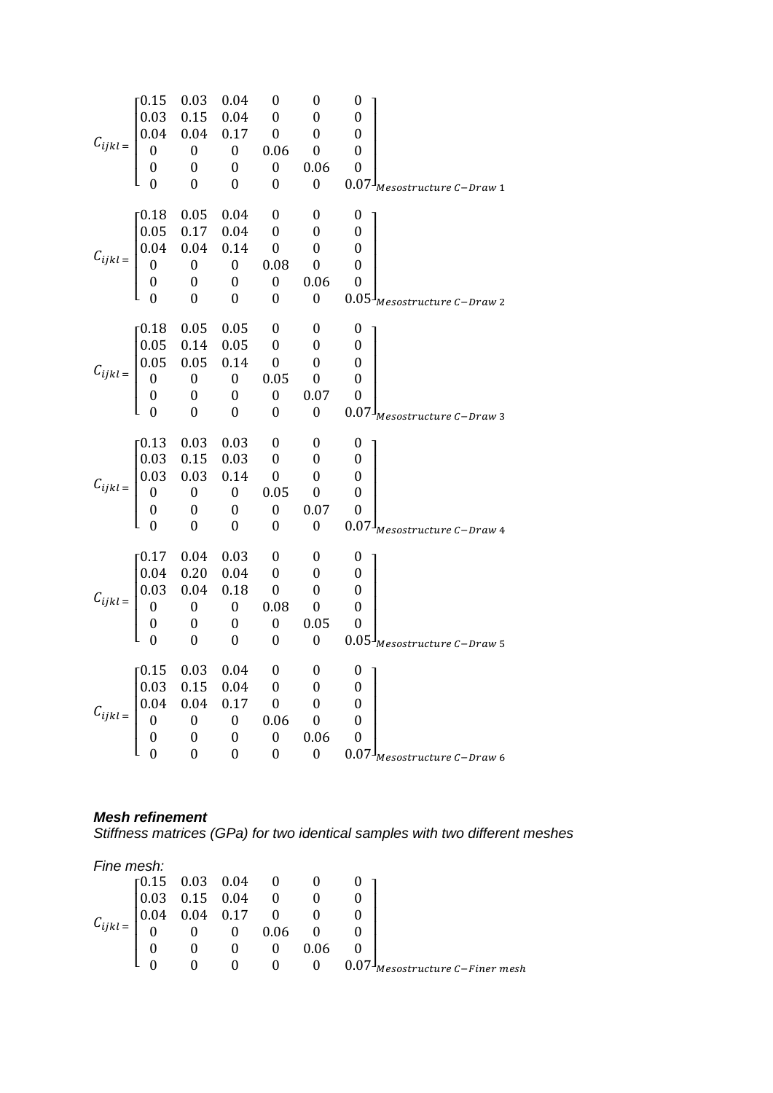|                                                                                                                                                                                                              | 0.15 | 0.03          | 0.04                     | $\boldsymbol{0}$        | $\bf{0}$                                            | $\boldsymbol{0}$                   |
|--------------------------------------------------------------------------------------------------------------------------------------------------------------------------------------------------------------|------|---------------|--------------------------|-------------------------|-----------------------------------------------------|------------------------------------|
|                                                                                                                                                                                                              |      |               |                          |                         | $\overline{0}$                                      | $\boldsymbol{0}$                   |
|                                                                                                                                                                                                              |      |               |                          |                         | $\overline{0}$                                      | $\bf{0}$                           |
|                                                                                                                                                                                                              |      |               |                          |                         | $\boldsymbol{0}$                                    | $\boldsymbol{0}$                   |
| $C_{ijkl} = \begin{bmatrix} 0.13 & 0.03 & 0.01 & 0 \\ 0.03 & 0.15 & 0.04 & 0 \\ 0.04 & 0.04 & 0.17 & 0 \\ 0 & 0 & 0 & 0.06 \\ 0 & 0 & 0 & 0 \end{bmatrix}$                                                   |      |               |                          |                         | 0.06                                                | $\bf{0}$                           |
|                                                                                                                                                                                                              |      | $\theta$      | $\boldsymbol{0}$         | $\boldsymbol{0}$        | 0                                                   | $0.07J_{Mesostructure C-Draw 1}$   |
|                                                                                                                                                                                                              |      | $0.05$ 0.04 0 |                          |                         | $\overline{\mathbf{0}}$                             | $\boldsymbol{0}$                   |
|                                                                                                                                                                                                              |      |               |                          | $\overline{\mathbf{0}}$ | $\overline{\phantom{0}}$                            | $\overline{\mathbf{0}}$            |
| $C_{ijkl} = \begin{bmatrix} 0.16 & 0.05 & 0.04 \\ 0.05 & 0.17 & 0.04 \\ 0.04 & 0.04 & 0.14 \\ 0 & 0 & 0 \\ 0 & 0 & 0 \end{bmatrix}$                                                                          |      |               |                          | $\overline{\mathbf{0}}$ | $\boldsymbol{0}$                                    | $\overline{\phantom{0}}$           |
|                                                                                                                                                                                                              |      |               |                          | 0.08                    | $\boldsymbol{0}$                                    | $\overline{\mathbf{0}}$            |
|                                                                                                                                                                                                              |      |               |                          | $\boldsymbol{0}$        | 0.06                                                | $\boldsymbol{0}$                   |
|                                                                                                                                                                                                              |      | 0             | $\boldsymbol{0}$         | $\boldsymbol{0}$        | $\theta$                                            |                                    |
|                                                                                                                                                                                                              |      |               |                          |                         |                                                     | $0.05J_{Mesostructure C-Draw 2}$   |
|                                                                                                                                                                                                              |      |               |                          |                         |                                                     | $\boldsymbol{0}$                   |
|                                                                                                                                                                                                              |      |               |                          |                         | $0\qquad 0$                                         |                                    |
|                                                                                                                                                                                                              |      |               |                          |                         |                                                     | $\overline{\mathbf{0}}$            |
|                                                                                                                                                                                                              |      |               |                          |                         |                                                     | $\overline{\mathbf{0}}$            |
|                                                                                                                                                                                                              |      |               |                          |                         |                                                     | $\overline{\phantom{0}}$           |
| $C_{ijkl} = \begin{bmatrix} 0.18 & 0.05 & 0.05 & \cup & \cup \\ 0.05 & 0.14 & 0.05 & 0 & 0 \\ 0.05 & 0.05 & 0.14 & 0 & 0 \\ 0 & 0 & 0 & 0.05 & 0 \\ 0 & 0 & 0 & 0 & 0.07 \\ 0 & 0 & 0 & 0 & 0 \end{bmatrix}$ |      |               |                          |                         |                                                     | $0.07J_{Mesostructure C-Draw 3}$   |
|                                                                                                                                                                                                              |      | 0.03          | 0.03                     | $\bf{0}$                | $\overline{\phantom{0}}$                            | $\boldsymbol{0}$                   |
| $C_{ijkl} = \begin{bmatrix} 0.13 & 0.03 & 0.03 & 0 \\ 0.03 & 0.15 & 0.03 & 0 \\ 0.03 & 0.03 & 0.14 & 0 \\ 0 & 0 & 0 & 0.05 \\ 0 & 0 & 0 & 0 \end{bmatrix}$                                                   |      |               |                          |                         | $\overline{\phantom{0}}$                            | $\overline{\phantom{0}}$           |
|                                                                                                                                                                                                              |      |               |                          |                         | $\overline{\mathbf{0}}$                             | $\overline{\mathbf{0}}$            |
|                                                                                                                                                                                                              |      |               |                          |                         | $\overline{\mathbf{0}}$                             | $\overline{\mathbf{0}}$            |
|                                                                                                                                                                                                              |      |               |                          |                         | 0.07                                                | $\mathbf{0}$                       |
|                                                                                                                                                                                                              |      | $\Omega$      | $\boldsymbol{0}$         | $\boldsymbol{0}$        | $\boldsymbol{0}$                                    | $0.07J_{Mesostructure C-Draw 4}$   |
|                                                                                                                                                                                                              |      |               |                          | $\bf{0}$                | $\overline{\mathbf{0}}$                             | $\bf{0}$                           |
| $C_{ijkl} = \begin{bmatrix} 0.17 & 0.04 & 0.03 \\ 0.04 & 0.20 & 0.04 \\ 0.03 & 0.04 & 0.18 \\ 0 & 0 & 0 \\ 0 & 0 & 0 \end{bmatrix}$                                                                          |      |               |                          | $\overline{0}$          | $\begin{matrix}0&&0\0&&0\0&&0\end{matrix}$          |                                    |
|                                                                                                                                                                                                              |      |               |                          | $\overline{\mathbf{0}}$ |                                                     |                                    |
|                                                                                                                                                                                                              |      |               |                          | 0.08                    | $\mathbf{0}$                                        | $\overline{\mathbf{0}}$            |
|                                                                                                                                                                                                              |      |               |                          | $\boldsymbol{0}$        | 0.05                                                | $\overline{0}$                     |
|                                                                                                                                                                                                              |      | $\mathbf{0}$  | $\overline{\phantom{0}}$ | $\boldsymbol{0}$        | $\mathbf{0}$                                        | $0.05^{J}$ Mesostructure C-Draw 5  |
|                                                                                                                                                                                                              |      |               |                          |                         |                                                     |                                    |
| $C_{ijkl} = \begin{bmatrix} 0.15 & 0.03 & 0.04 & 0 \\ 0.03 & 0.15 & 0.04 & 0 \\ 0.04 & 0.04 & 0.17 & 0 \\ 0 & 0 & 0 & 0.06 \\ 0 & 0 & 0 & 0 \\ 0 & 0 & 0 & 0 \end{bmatrix}$                                  |      |               | $0.04$ 0 0               |                         |                                                     | $\mathbf{0}$                       |
|                                                                                                                                                                                                              |      |               |                          |                         | $0\qquad 0$                                         |                                    |
|                                                                                                                                                                                                              |      |               |                          |                         | $\overline{\phantom{0}}$                            | $\overline{\mathbf{0}}$            |
|                                                                                                                                                                                                              |      |               |                          |                         | $\overline{\phantom{0}}$                            | $\boldsymbol{0}$                   |
|                                                                                                                                                                                                              |      |               |                          |                         | $\begin{array}{cc} 0.06 & 0 \\ 0 & 0.0 \end{array}$ |                                    |
|                                                                                                                                                                                                              |      |               |                          |                         |                                                     | $0.07J_{Mesostructure\ C-Draw\ 6}$ |

### *Mesh refinement*

*Stiffness matrices (GPa) for two identical samples with two different meshes*

| Fine mesh:                                          |                                                                                                                                                                                                                         |                                   |  |                            |
|-----------------------------------------------------|-------------------------------------------------------------------------------------------------------------------------------------------------------------------------------------------------------------------------|-----------------------------------|--|----------------------------|
|                                                     |                                                                                                                                                                                                                         |                                   |  |                            |
|                                                     |                                                                                                                                                                                                                         |                                   |  |                            |
|                                                     | $=\begin{bmatrix} 0.15 & 0.03 & 0.04 & 0 & 0 & 0 \\ 0.03 & 0.15 & 0.04 & 0 & 0 & 0 \\ 0.04 & 0.04 & 0.17 & 0 & 0 & 0 \\ 0 & 0 & 0 & 0.06 & 0 & 0 \\ 0 & 0 & 0 & 0 & 0.06 & 0 \\ 0 & 0 & 0 & 0 & 0 & 0.06 \end{bmatrix}$ |                                   |  |                            |
| $C_{ijkl} = \begin{bmatrix} 0.1 \\ 0 \end{bmatrix}$ |                                                                                                                                                                                                                         |                                   |  |                            |
|                                                     |                                                                                                                                                                                                                         |                                   |  |                            |
|                                                     |                                                                                                                                                                                                                         | $\begin{matrix}0&0&0\end{matrix}$ |  | Mesostructure C–Finer mesh |